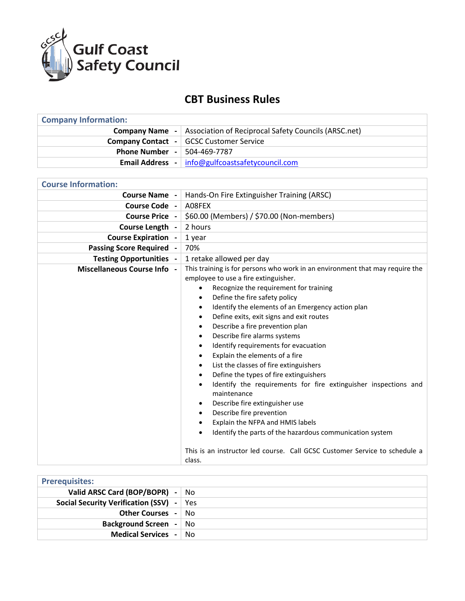

## **CBT Business Rules**

| <b>Company Information:</b>                           |                                                                              |  |
|-------------------------------------------------------|------------------------------------------------------------------------------|--|
|                                                       | <b>Company Name</b> -   Association of Reciprocal Safety Councils (ARSC.net) |  |
|                                                       | <b>Company Contact - GCSC Customer Service</b>                               |  |
| <b>Phone Number - <math>\vert</math> 504-469-7787</b> |                                                                              |  |
|                                                       | <b>Email Address</b> -   info@gulfcoastsafetycouncil.com                     |  |

| <b>Course Information:</b>      |                                                                                                                                                                                                                                                                                                                                                                                                                                                                                                                                                                                                                                                                                                                                                                                                                                                                                                                                                             |
|---------------------------------|-------------------------------------------------------------------------------------------------------------------------------------------------------------------------------------------------------------------------------------------------------------------------------------------------------------------------------------------------------------------------------------------------------------------------------------------------------------------------------------------------------------------------------------------------------------------------------------------------------------------------------------------------------------------------------------------------------------------------------------------------------------------------------------------------------------------------------------------------------------------------------------------------------------------------------------------------------------|
| <b>Course Name -</b>            | Hands-On Fire Extinguisher Training (ARSC)                                                                                                                                                                                                                                                                                                                                                                                                                                                                                                                                                                                                                                                                                                                                                                                                                                                                                                                  |
| Course Code -                   | A08FEX                                                                                                                                                                                                                                                                                                                                                                                                                                                                                                                                                                                                                                                                                                                                                                                                                                                                                                                                                      |
| <b>Course Price -</b>           | \$60.00 (Members) / \$70.00 (Non-members)                                                                                                                                                                                                                                                                                                                                                                                                                                                                                                                                                                                                                                                                                                                                                                                                                                                                                                                   |
| Course Length -                 | 2 hours                                                                                                                                                                                                                                                                                                                                                                                                                                                                                                                                                                                                                                                                                                                                                                                                                                                                                                                                                     |
| <b>Course Expiration -</b>      | 1 year                                                                                                                                                                                                                                                                                                                                                                                                                                                                                                                                                                                                                                                                                                                                                                                                                                                                                                                                                      |
| <b>Passing Score Required -</b> | 70%                                                                                                                                                                                                                                                                                                                                                                                                                                                                                                                                                                                                                                                                                                                                                                                                                                                                                                                                                         |
| <b>Testing Opportunities -</b>  | 1 retake allowed per day                                                                                                                                                                                                                                                                                                                                                                                                                                                                                                                                                                                                                                                                                                                                                                                                                                                                                                                                    |
| Miscellaneous Course Info -     | This training is for persons who work in an environment that may require the<br>employee to use a fire extinguisher.<br>Recognize the requirement for training<br>Define the fire safety policy<br>Identify the elements of an Emergency action plan<br>Define exits, exit signs and exit routes<br>٠<br>Describe a fire prevention plan<br>٠<br>Describe fire alarms systems<br>٠<br>Identify requirements for evacuation<br>٠<br>Explain the elements of a fire<br>٠<br>List the classes of fire extinguishers<br>$\bullet$<br>Define the types of fire extinguishers<br>$\bullet$<br>Identify the requirements for fire extinguisher inspections and<br>$\bullet$<br>maintenance<br>Describe fire extinguisher use<br>٠<br>Describe fire prevention<br>Explain the NFPA and HMIS labels<br>Identify the parts of the hazardous communication system<br>$\bullet$<br>This is an instructor led course. Call GCSC Customer Service to schedule a<br>class. |

| <b>Prerequisites:</b>                |      |
|--------------------------------------|------|
| Valid ARSC Card (BOP/BOPR) - No      |      |
| Social Security Verification (SSV) - | Yes  |
| <b>Other Courses - No</b>            |      |
| <b>Background Screen</b> -           | ∣ No |
| <b>Medical Services - No</b>         |      |